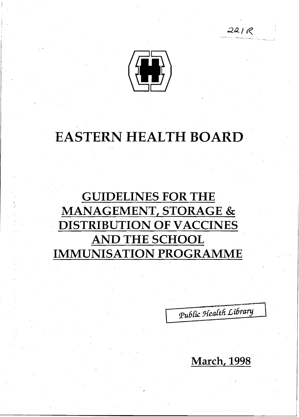

 $|$  . . . i I.

# EASTERN HEALTH BOARD

# GUIDELINES FOR THE MANAGEMENT, STORAGE & DISTRIBUTION OF VACCINES AND THE SCHOOL IMMUNISATION PROGRAMME

Public Health Library

 $221R$ 

March, 1998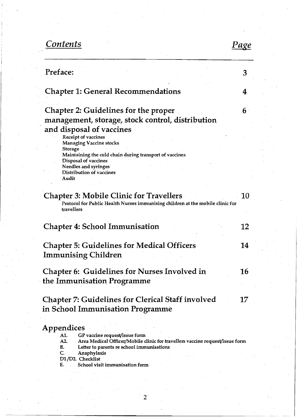# *Contents Page*

| Preface:                                                                                                                                                                                           | 3  |
|----------------------------------------------------------------------------------------------------------------------------------------------------------------------------------------------------|----|
| <b>Chapter 1: General Recommendations</b>                                                                                                                                                          | 4  |
| Chapter 2: Guidelines for the proper<br>management, storage, stock control, distribution<br>and disposal of vaccines                                                                               | 6  |
| Receipt of vaccines<br><b>Managing Vaccine stocks</b><br>Storage<br>Maintaining the cold chain during transport of vaccines                                                                        |    |
| Disposal of vaccines<br>Needles and syringes<br>Distribution of vaccines<br>Audit                                                                                                                  |    |
| <b>Chapter 3: Mobile Clinic for Travellers</b><br>Protocol for Public Health Nurses immunising children at the mobile clinic for<br>travellers                                                     | 10 |
| <b>Chapter 4: School Immunisation</b>                                                                                                                                                              | 12 |
| <b>Chapter 5: Guidelines for Medical Officers</b><br><b>Immunising Children</b>                                                                                                                    | 14 |
| Chapter 6: Guidelines for Nurses Involved in<br>the Immunisation Programme                                                                                                                         | 16 |
| <b>Chapter 7: Guidelines for Clerical Staff involved</b><br>in School Immunisation Programme                                                                                                       | 17 |
| Appendices                                                                                                                                                                                         |    |
| GP vaccine request/issue form<br>A1.<br>A2<br>Area Medical Officer/Mobile clinic for travellers vaccine request/issue form<br>В.<br>Letter to parents re school immunisations<br>C.<br>Anaphylaxis |    |
| D1/D2. Checklist<br>School visit immunisation form<br>Е.                                                                                                                                           |    |
|                                                                                                                                                                                                    |    |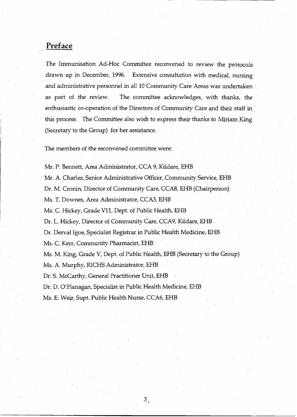# **Preface**

The Immunisation Ad-Hoc Committee reconvened to review the protocols drawn up in December, 1996. Extensive consultation with medical, nursing and administrative personnel in all 10 Community Care Areas was undertaken as part of the review. The committee acknowledges, with thanks, the enthusiastic co-operation of the Directors of Community Care and their staff in this process. . The Committee also wish to express their thanks to Miriam King (Secretary to the Group) for her assistance.

The members of the reconvened committee were:

Mr. P. Bennett, Area Administrator, CCA 9, Kildare, EHB Mr. A. Charles, Senior Administrative Officer, Community Service, EHB Dr. M. Cronin, Director of Community Care, CCA8, EHB (Chairperson) Ms. T. Downes, Area Administrator, CCA3, EHB Ms. C. Hickey, Grade Vll, Dept. of Public Health, EHB Dr. L.Hickey, Director of Community Care, CCA9, Kildare, EHB Dr. Derval Igoe, Specialist Registrar in Public Health Medicine, EHB Ms. C. Kerr, Community Pharmacist, EHB Ms. M. King, Grade V, Dept. of Public Health, EHB (Secretary to the Group) Ms. A. Murphy, RICHS Administrator, EHB Dr. S. McCarthy, General Practitioner Unit, EHB

3

Dr, D. O'Flanagan, Specialist in Public Health Medicine, EHB

Ms. E. Weir, Supt. Public Health Nurse, CCA6, EHB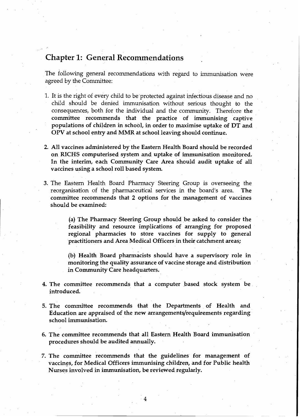# Chapter 1: General Recommendations

The following general recommendations with regard to immunisation were agreed by the Committee:

- 1. It is the right of every child to be'protected against infectious disease and no child should be denied immunisation without serious thought to the consequences, both for the individual and the community. Therefore the committee recommends that the practice of immunising captive . populations of children in school, in order to maximise uptake of DT and OPV at school entry and NIMR at school leaving should continue.
- 2. All vaccines administered by the Eastern Health Board should be recorded on RICHS computerised system and uptake of immunisation monitored. In the interim, each Community Care Area should audit uptake of all vaccines using a school roll based system.
- 3. The Eastern Health Board Pharmacy· Steering Group is overseeing the reorganisation of the pharmaceutical services in the board's area. The committee recommends that 2 options for the management of vaccines should be examined:

(a) The Pharmacy Steering Group should be asked to consider the feasibility and resource implications of arranging for proposed regional pharmacies to store vaccines for supply to general practitioners and Area Medical Officers in their catchment areas;

(b) Health Board pharmacists should have a supervisory role in monitoring the quality assurance of vaccine storage and distribution in Community Care headquarters.

- 4. The committee recommends that a computer based stock system be introduced.
- 5. The committee recommends that the Departments of Health and Education are appraised of the new arrangements/requirements regarding· school immunisation.
- 6. The committee recommends that all Eastern Health Board immunisation procedures should be audited annually.

7. The committee recommends that the guidelines for management of vaccines, for Medical Officers immunising children, and for Public health Nurses involved in immunisation, be reviewed regularly.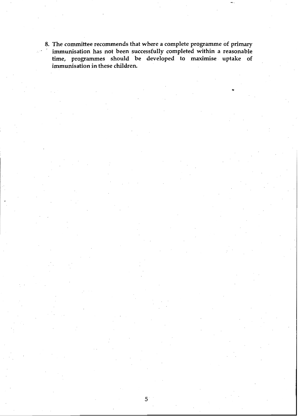8. The committee recommends that where a complete programme of primary immunisation has not been successfully completed within a reasonable . immunisation has not been successfully completed within a reasonable time, programmes should be developed to maximise uptake of immunisation in these children.

 $5<sup>+</sup>$ 

..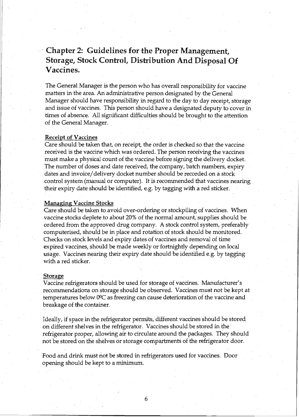# . **Chapter 2: Guidelines for the Proper Management,**  . **Storage, Stock Control, Distribution And Disposal Of Vaccines. .**

The General Manager is the person who has overall responsibility for vaccine matters in the area. An administrative person designated by the General Manager should have responsibility in regard to the day to day receipt, storage and issue of vaccines. This person should have a designated deputy to cover in times of absence. All significant difficulties should be brought to the attention of the General Manager. .

# **Receipt of Vaccines**

Care should be taken that, on receipt, the order is checked so that the vaccine received is the vaccine which was ordered. The person receiving the vaccines must make a physical count of the vaccine before signing the delivery docket. The number of doses and date received, the company, batch numbers, expiry dates and invoice/delivery docket number should be recorded on a stock control system (manual or computer). It is recommended that vaccines nearing their expiry date should be identified, e.g. by tagging with a red sticker.

## **Managing Vaccine Stocks**

Care should be taken to avoid over-ordering or stockpiling of vaccines. When vaccine stocks deplete to about 20% of the normal amount, supplies should be ordered from the approved drug company. A stock control system, preferably computerised, should be in place and rotation of stock should be monitored. Checks on stock levels and expiry dates of vaccines and removal of time expired vaccines, should be made weekly or fortnightly depending on local usage. Vaccines nearing their expiry date should be identified e.g. by tagging with a red sticker.

#### **Storage**

Vaccine refrigerators should be used for storage of vaccines. Manufacturer's recommendations on storage should be observed. Vaccines must not be kept at temperatures below  $0^{\circ}C$  as freezing can cause deterioration of the vaccine and breakage of the container.

Ideally, if space in the refrigerator permits, different vaccines should be stored on different shelves in the refrigerator. Vaccines should be stored in the· refrigerator proper, allowing air to circulate around the packages. They should not be stored on the shelves or storage compartments of the refrigerator door.

Food and drink must not be stored in refrigerators used for vaccines. Door opening should be kept to a minimum.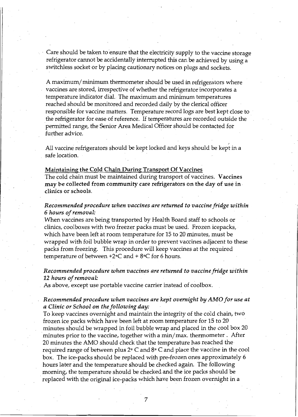Care should be taken to ensure that the electricity supply to the vaccine storage refrigerator cannot be accidentally interrupted this can be achieved by using a switchless socket or by placing cautionary notices on plugs and sockets.

A maximum/ minimum thermometer should be used in refrigerators where vaccines are stored, irrespective of whether the refrigerator incorporates a temperature indicator dial. The maximum and minimum temperatures reached should be monitored and recorded daily by the clerical officer responsible for vaccine matters. Temperature record logs are best kept close to the refrigerator for ease of reference. If temperatures are recorded outside the . permitted range, fhe Senior Area Medical Officer should be contacted for further advice.

All vaccine refrigerators should be kept locked and keys should be kept in a safe location.

### Maintaining the Cold Chain During Transport Of Vaccines

The cold chain must be maintained during transport of vaccines. Vaccines may be collected from community care refrigerators on the day of use in . clinics or schools.

# *Recommended procedure when vaccines are returned to vaccine fridge within 6 hours of removal:*

When vaccines are being transported by Health Board staff to schools or clinics, coolboxes with two freezer packs must be used. Frozen icepacks, which have been left at room temperature for 15 to 20 minutes, must be wrapped with foil bubble wrap in order to prevent vaccines adjacent to these packs from freezing. This procedure will keep vaccines at the required temperature of between  $+2$ °C and  $+8$ °C for 6 hours.

# *Recommended procedure when vaccines are returned to vaccine fridge within 12 hours of removal:*

. As above, except use portable vaccine carrier instead of coolbox.

# *Recommended procedure when vaccines are kept overnight by AMO for use at a Clinic or School on the following day:*

To keep vaccines overnight and maintain the integrity of the cold chain, two frozen ice packs which have been left at room temperature for 15 to 20 minutes should be wrapped in foil bubble wrap and placed in the cool box 20 minutes prior to the vaccine, together with a min/max. thermometer. After 20 minutes the AMO should check that the temperature has reached the required range of between plus  $2^{\circ}$  C and  $8^{\circ}$  C and place the vaccine in the cool box. The ice-packs should be replaced with pre-frozen ones approximately 6 hours later and the temperature should be checked again. The following morning, the temperature should be checked and the ice packs should be . replaced with the original ice-packs which have been frozen overnight in a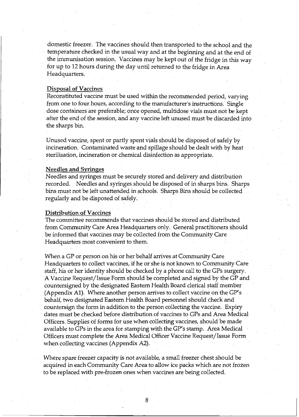domestic freezer. The vaccines should then transported to the school and the temperature checked in the usual way and at the beginning and at the end of the immunisation session. Vaccines may be kept out of the fridge in this way for up to 12 hours during the day until returned to the fridge in Area Headquarters.

### Disposal of Vaccines

Reconstituted vaccine must be used within the recommended period, varying from one to four hours, according to the manufacturer's instructions. Single dose containers are preferable; once opened, multidose vials must not be kept after the end of the session, and any vaccine left unused must be discarded into the sharps bin.

Unused vaccine, spent or partly spent vials should be disposed of safely by incineration. Contaminated waste and spillage should be dealt with by heat sterilisation, incineration or chemical disinfection as appropriate.

### Needles and Syringes

Needles and syringes must be securely stored and delivery and distribution recorded. Needles and syringes should be disposed of in sharps bins. Sharps bins must not be left unattended in schools. Sharps Bins should be collected regularly and be disposed of safely.

### Distribution of Vaccines

The committee recommends that vaccines should be stored and distributed . from Community Care Area Headquarters only. General practitioners should be informed that vaccines may be collected from the Community Care . Headquarters most convenient to them.

When a GP or person on his or her behalf arrives at Community Care Headquarters to collect vaccines, if he or she is not known to Community Care staff, his or her identity should be checked by a phone call to the GPs surgery. A Vaccine Request/Issue Form should be completed and signed by the GP and countersigned by the designated Eastern Health Board clerical staff member (Appendix A1). Where another person arrives to collect vaccine on the  $\text{GP's}$ behalf, two designated Eastern Health Board personnel should check and countersign the form in addition to the person collecting the vaccine. Expiry dates must be checked before distribution of vaccines to GPs and Area Medical Officers. Supplies of forms for use when collecting vaccines, should be made available to GPs in the area for stamping with the GP's stamp. Area Medical Officers must complete the Area Medical Officer Vaccine Request/Issue Form when collecting vaccines (Appendix A2).

Where spare freezer capacity is not available, a small freezer chest should be acquired in each Community Care Area to allow ice packs which are not frozen to be replaced with pre-frozen ones when vaccines are being collected.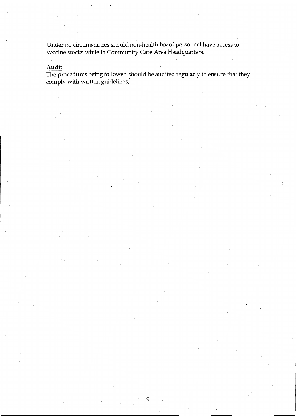Under no circumstances should non-health board personnel have access to ... vaccine stocks while in Community Care Area Headquarters.

# **Audit**

 $T$ he procedures being followed should be audited regularly to ensure that they comply with written guidelines.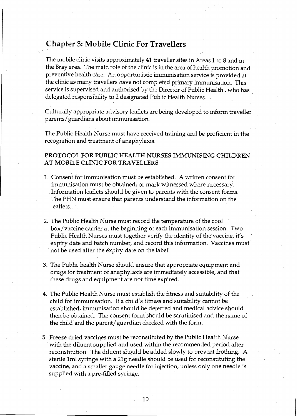# **Chapter 3: Mobile Clinic For Travellers**

The mobile clinic visits approximately 41 traveller sites in Areas 1 to 8 and in the Bray area. The main role of the clinic is in the area of health promotion and preventive health care. An opportunistic immunisation service is provided at the clinic as many travellers have not completed primary immunisation. This service is supervised and authorised by the Director of Public Health, who has delegated responsibility to 2 designated Public Health Nurses.

Culturally appropriate advisory leaflets are being developed to inform traveller parents/ guardians about immunisation.

The Public Health Nurse must have received training and be proficient in the recognition and treatment of anaphylaxis.

# **PROTOCOL FOR PUBLIC HEALTH NURSES IMMUNISING CHILDREN AT MOBILE CLINIC FOR TRAVELLERS**

- 1. Consent for immunisation must be established. A written consent for immunisation must be obtained, or mark witnessed where necessary. Information leaflets should be given to parents with the consent forms. The PHN must ensure that parents understand the information on the leaflets.. .
- 2. The Public Health Nurse must record the temperature of the cool box/vaccine carrier at the beginning of each immunisation session. Two Public Health Nurses must together verify the identity of the vaccine, it's expiry date and batch number, and record this information. Vaccines must· not be used after 'the expiry date on the label.
- 3. The Public health Nurse should ensure that appropriate equipment and drugs for treatment of anaphylaxis are immediately accessible, and that these drugs and equipment are not time expired.
- 4. The Public Health Nurse must estabIlsh the fitness and suitability of the child for immunisation. If a child's fitness and suitability cannot be established, immunisation should be deferred and medical advice should then be obtained. The consent form should be scrutinised and the name of . the child and the parent/ guardian checked with the form.
- 5. Freeze dried vaccines must be reconstituted by the Public Health Nurse with the diluent supplied and used within the recommended period after reconstitution. The diluent should be added slowly to prevent frothing. A sterile Iml syringe with a 21g needle should be used for reconstituting the vaccine, and a smaller gauge needle for injection, unless only one needle is supplied with a pre-filled syringe.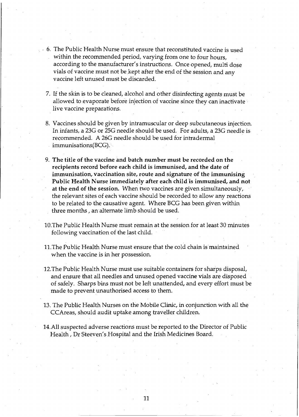- 6. The Public Health Nurse must ensure that reconstituted vaccine is used within the recommended period, varying from one to four hours, according to the manufacturer's instructions. Once opened, multi dose vials of vaccine must not be kept after the end of the session and any vaccine left unused must be discarded.
- 7. If the skin is to be cleaned, alcohol and other disinfecting agents must be allowed to evaporate before injection of vaccine since they can inactivate live vaccine preparations.
- 8. Vaccines should be given by intramuscular or deep subcutaneous injection. In infants, a 23G or 25G needle should be used. For adults, a 23G needle is recommended. A 26G needle should be used for intradermal immunisations(BCG) ....
- 9. The title of the vaccine and batch number must be recorded on the recipients record before each child is immunised, and the date of immunisation, vaccination site, route and signature of the immunising Public Health Nurse immediately after each child "is immunised, and not at the end of the session. When two vaccines are given simultaneously, the relevant sites of each vaccine should be recorded to allow any reactions to be related to the causative agent. Where BCG has been given within three months, an alternate limb should be used.
- lO.The Public Health Nurse must remain at the session for at least 30 minutes following vaccination of the last child.
- 11.The Public Health Nurse must ensure that the cold chain is maintained when the vaccine is in her possession.
- 12.The Public Health Nurse must use suitable containers for sharps disposal, and ensure that all needles and unused opened vaccine vials are disposed of safely. Sharps bins must not be left unattended, and every effort must be made to prevent unauthorised access to them.
- 13. The Public Health Nurses on the Mobile Clinic, in conjunction with all the CCAreas, should audit uptake among traveller children.
- 14.All suspected adverse reactions must be reported to the Director of Public Health, Dr Steeven's Hospital and the Irish Medicines Board.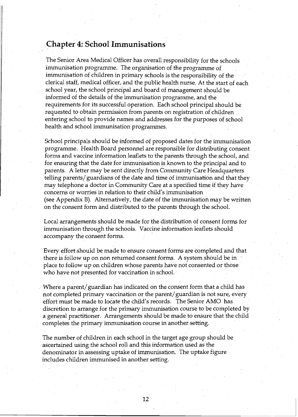# **Chapter 4: School Immunisations**

The Senior Area·Medical Officer has overall responsibility for the schools immunisation programme. The organisation of the programme of immunisation of children in primary schools is the responsibility of the clerical staff, medical officer, and the public health nurse. At the start of each school year, the school principal and board of management should be informed of the details of the immunisation programme, and the' requirements for its successful operation. Each school principal should be requested to obtain permission from parents on registration of children entering school to provide names and addresses for the purposes of school health and school immunisation programmes.

School principals should be informed of proposed dates for the immunisation programme. Health Board personnel are responsible for distributing consent forms and vaccine information leaflets to the parents through the school, and for ensuring that the date for immunisation is known to the principal and to parents. A letter may be sent directly from Community Care Headquarters telling parents/ guardians of the date and time of immunisation and that they . may telephone a doctor in Community Care at a specified time if they have concerns or worries in relation to their child's immunisation (see Appendix B). Alternatively, the date of the immunisation may be written on the consent form and distributed to the parents through the school.

Local arrangements should be made for the distribution of consent forms for immunisation through the schools. Vaccine information leaflets should accompany the consent forms.

Every effort should be made to ensure consent forms are completed and that there is follow up on non returned consent forms.  $\,$  A system should be in  $\,$ place to follow up on children whose parents have not consented or those who have not presented for vaccination in schooL·

Where a parent/ guardian has indicated on the consent form that a child has not completed primary vaccination or the parent/ guardian is not sure, every effort must be made to locate the child's records. The Senior AMO has discretion to arrange for the primary immunisation course to be completed by a general practitioner. Arrangements should be made to ensure that the child completes the primary immunisation course in another setting.

The number of children in each school in the target age group should be ascertained using the school roll and this information used as the denominator in assessing uptake of immunisation. The uptake figure includes children immunised in another setting.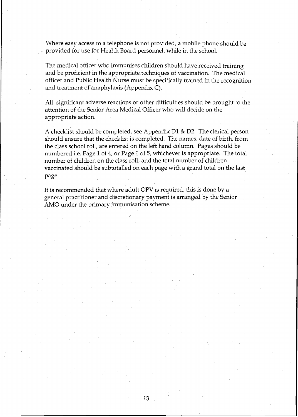Where easy access to a telephone is not provided, a mobile phone should be provided for use for Health Board personnel, while in the school.

The medical officer who immunises children should have received training and be proficient in the appropriate techniques of vaccination. The medical officer and Public Health Nurse must be specifically trained in the recognition and treatment of anaphylaxis (Appendix C).

All significant adverse reactions or other difficulties should be brought to the attention of the Senior Area Medical Officer who will decide on the appropriate action.

A checklist should be completed, see Appendix D1 & D2. The clerical person should ensure that the checklist is completed. The names, date of birth, from the class school roll, are entered on the left hand column. Pages should be numbered i.e. Page 1 of 4, or Page 1 of 5, whichever is appropriate. The total number of children on the class roll, and the total number of children vaccinated should be subtotalled on each page with a grand total on the last. page.

It is recommended that where adult OPV is required, this is done by a general practitioner and discretionary payment is arranged by the Senior AMO under the primary immunisation scheme.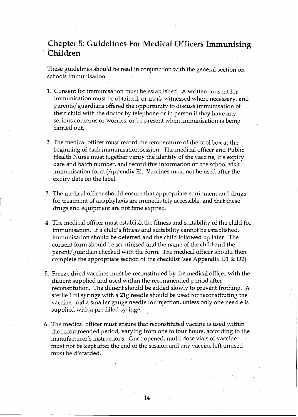# **Chapter 5: Guidelines For Medical Officers Immunising Children**

These guidelines should be read in conjunction with the general section on schools immunisation.

- 1. Consent for immunisation must be established. A written consent for immunisation must be obtained, or mark witnessed where necessary/and , parents/guardians offered the opportunity to discuss immunisation of their child with the doctor by telephone or in person if they have any serious concerns or worries, or be present when immunisation is being carried out.
- 2. The medical officer must record the temperature of the cool box at the beginning of each immunisation session. The medical officer and Public Health Nurse must together verify the identity of the vaccine, it's expiry date and batch number, and record this information on the school visit immunisation form (Appendix E). Vaccines must not be used after the expiry date on the labeL
- 3. The medical officer should ensure that appropriate equipment and drugs for treatment of anaphylaxis are immediately accessible, and that these drugs and equipment are not time expired.
- 4., The medical officer must establish the fitness and suitability of the child for immunisation. If a child's fitness and suitability cannot be established, immunisation should be deferred and the child followed up later. The consent form should be scrutinised and the name of the child and the parent/ guardian checked with the form. The medical officer should then ' complete the appropriate section of the checklist (see Appendix D1  $\&$  D2)
- 5. Freeze dried vaccines must be reconstituted by the medical officer with the diluent supplied and used within the recommended period after reconstitution. The diluent should be added slowly to prevent frothing. A sterile 1ml syringe with a 21g needle should be used for reconstituting the vaccine, and a smaller gauge needle for injection, unless only one needle is , supplied with a pre-filled syringe.
- 6. The medical officer must ensure that reconstituted vaccine is used within the recommended period, varying from one to four hours, according to the manufacturer's instructions. Once opened, multi dose vials of vaccine must not be kept after the end of the session and any vaccine left unused must be discarded.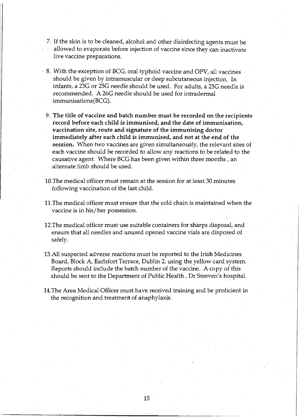- 7. If the skin is to be cleaned, alcohol and other disinfecting agents must be allowed to evaporate before injection of vaccine since they can inactivate live vaccine preparations.
- 8. With the exception of BCG, oral typhoid vaccine and DPV, all vaccines should be given by intramuscular or deep subcutaneous injection. In infants, a 23G or 25G needle should be used. For adults, a 23G needle is recommended. A 26G needle should be used for intradermal immunisations(BCG).
	- 9. The title of vaccine and batch number must be recorded on the recipients record before each child is immunised, and the date of immunisation, vaccination site, route and signature of the immunising doctor immediately after each child is immunised, and not at the end of the session. When two vaccines are given simultaneously, the relevant sites of each vaccine should be recorded to allow any reactions to be related to the causative agent. Where BCG has been given within three months, an alternate limb should be used.
- 10.The medical officer must remain at the session for at least 30 minutes following vaccination of the last child.
- 11. The medical officer must ensure that the cold chain is maintained when the vaccine is in his/her possession.
- 12. The medical officer must use suitable containers for sharps disposal, and ensure that all needles and unused opened vaccine vials are disposed of safely.
- 13.AlI suspected adverse reactions must be reported to the Irish Medicines Board, Block A, Earlsfort Terrace, Dublin 2, using the yellow card system. Reports should include the batch number of the vaccine. A copy of this should be sent to the Department of Public Health, Dr Steeven's hospitaL
- 14.The Area Medical Officer must have received training and be proficient in the recognition and treatment of anaphylaxis.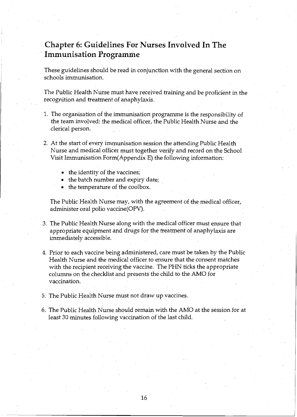# **Chapter 6: Guidelines For Nurses Involved In The**  -**Immunisation Programme**

These guidelines should be read in conjunction with the general section on schools immunisation.

The Public Health Nurse must have received training and be proficient in the recognition and treatment of anaphylaxis.

- 1. The organisation of the immunisation programme is the responsibility of the team involved: the medical officer, the Public Health Nurse and the clerical person.
- 2. At the start of every immunisation session the attending Public Health Nurse and medical officer must together verify and record on the School Visit Immunisation Form(Appendix E) the following information:
	- the identity of the vaccines;
	- the batch number and expiry date;
	- the temperature of the coolbox.

The Public Health Nurse may, with the agreement of the medical officer, administer oral polio vaccine(OPV).

- 3. The Public Health Nurse along with the medical officer must ensure that appropriate equipment and drugs for the treatment of anaphylaxis are immediately accessible.
- 4. Prior to each vaccine being administered, care must be taken by the Public Health Nurse and the medical officer to ensure that the consent matches with the recipient receiving the vaccine. The PHN ticks the appropriate columns on the checklist and presents the child to the AMO for vaccination.
- 5. The Public Health Nurse must not draw up vaccines.
- 6. The Public Health Nurse should remain with the AMO at the session for at least 30 minutes following vaccination of the last child.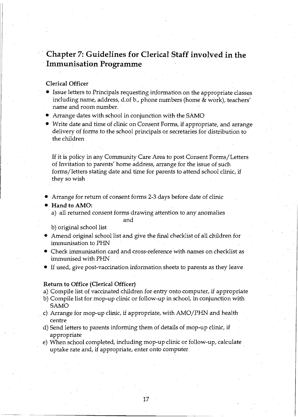# **Chapter 7: Guidelines for Clerical Staff involved in the**  · **Immunisation Programme**

# Clerical Officer

- Issue letters to Principals requesting information on the appropriate classes . including name, address, d.of b., phone numbers (home & work), teachers' name and room number.
- $\blacktriangleright$  Arrange dates with school in conjunction with the SAMO
- Write date and time of clinic on Consent Forms, if appropriate, and arrange delivery of forms to the school principals or secretaries for distribution to the children

If it is policy in any Community Care Area to post Consent Forms/Letters bf Invitation to parents' home address, arrange for the issue of such forms/letters stating date and time for parents to attend school clinic, if they so wish

• Arrange for return of consent forms 2-3 days before date of clinic

#### •. Hand to AMO:

a) all returned consent forms drawing attention to any anomalies

#### and

b) original school list

- e Amend original school list and give the final checklist of all children for immunisation to PHN
- $\blacktriangleright$  Check immunisation card and cross-reference with names on checklist as . immunised with PHN
- If used, give post-vaccination information sheets to parents as they leave

# Return to Office (Clerical Officer)

a) Compile list of vaccinated children for entry onto computer, if appropriate

- b) Compile list for mop-up clinic or follow-up in school, in conjunction with SAMO
- c) Arrange for mop-up clinic, if appropriate, with AMO/PHN and health centre
- d) Send letters to parents informing them of details of mop-up clinic, if appropriate
- e) When school completed, including mop-up clinic or follow-up, calculate. uptake rate and, if appropriate, enter onto computer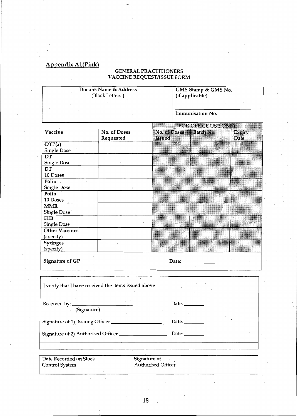# Appendix A1(Pink)

## GENERAL PRACTITIONERS VACCINE REQUEST/ISSUE FORM

|                        | Doctors Name & Address<br>(Block Letters)            |                               | GMS Stamp & GMS No.<br>(if applicable) |                     |                |  |  |  |
|------------------------|------------------------------------------------------|-------------------------------|----------------------------------------|---------------------|----------------|--|--|--|
|                        |                                                      |                               |                                        | Immunisation No.    |                |  |  |  |
|                        |                                                      |                               |                                        | FOR OFFICE USE ONLY |                |  |  |  |
| Vaccine                | No. of Doses<br>Requested                            | No. of Doses<br><b>Issued</b> |                                        | Batch No.           | Expiry<br>Date |  |  |  |
| DTP(a)                 |                                                      |                               |                                        |                     |                |  |  |  |
| Single Dose            |                                                      |                               |                                        |                     |                |  |  |  |
| DT                     |                                                      |                               |                                        |                     |                |  |  |  |
| Single Dose            |                                                      |                               |                                        |                     |                |  |  |  |
| DT                     |                                                      |                               |                                        |                     |                |  |  |  |
| 10 Doses               |                                                      |                               |                                        |                     |                |  |  |  |
| Polio                  |                                                      |                               |                                        |                     |                |  |  |  |
| Single Dose            |                                                      |                               |                                        |                     |                |  |  |  |
| Polio                  |                                                      |                               |                                        |                     |                |  |  |  |
| 10 Doses               |                                                      |                               |                                        |                     |                |  |  |  |
| <b>MMR</b>             |                                                      |                               |                                        |                     |                |  |  |  |
| Single Dose            |                                                      |                               |                                        |                     |                |  |  |  |
| <b>HIB</b>             |                                                      |                               |                                        |                     |                |  |  |  |
| <b>Single Dose</b>     |                                                      |                               |                                        |                     |                |  |  |  |
| Other Vaccines         |                                                      |                               |                                        |                     |                |  |  |  |
| (specify)              |                                                      |                               |                                        |                     |                |  |  |  |
| Syringes               |                                                      |                               |                                        |                     |                |  |  |  |
| (specify)              |                                                      |                               |                                        |                     |                |  |  |  |
|                        |                                                      |                               |                                        | Date: _____________ |                |  |  |  |
|                        | I verify that I have received the items issued above |                               |                                        |                     |                |  |  |  |
| Received by: _________ |                                                      |                               | Date:                                  |                     |                |  |  |  |
| (Signature)            |                                                      |                               |                                        |                     |                |  |  |  |
|                        |                                                      |                               |                                        |                     |                |  |  |  |
|                        |                                                      |                               | Date: $\_\_$                           |                     |                |  |  |  |
|                        |                                                      |                               |                                        |                     |                |  |  |  |
|                        |                                                      |                               |                                        |                     |                |  |  |  |
|                        |                                                      |                               |                                        |                     |                |  |  |  |
|                        |                                                      |                               |                                        |                     |                |  |  |  |
| Date Recorded on Stock |                                                      | Signature of                  |                                        |                     |                |  |  |  |
| Control System         |                                                      | Authorised Officer_           |                                        |                     |                |  |  |  |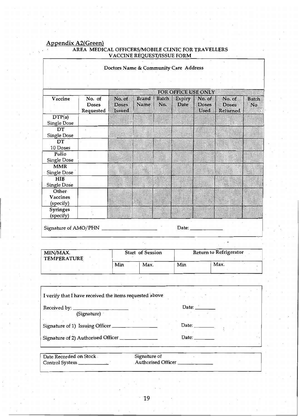# Appendix A2(Green)

## AREA MEDICAL OFFlCERSJMOBILE CLINIC FOR TRAVELLERS V ACCINE FORM

|                                                         |                        | Doctors Name & Community Care Address |                      |              |                                       |                 |                               |                                |
|---------------------------------------------------------|------------------------|---------------------------------------|----------------------|--------------|---------------------------------------|-----------------|-------------------------------|--------------------------------|
|                                                         |                        |                                       |                      |              |                                       |                 |                               |                                |
| Vaccine                                                 | No. of<br><b>Doses</b> | No. of<br>Doses                       | <b>Brand</b><br>Name | Batch<br>No. | FOR OFFICE USE ONLY<br>Expiry<br>Date | No. of<br>Doses | No. of<br>Doses               | <b>Batch</b><br>N <sub>O</sub> |
| DTP(a)                                                  | Requested              | <b>Issued</b>                         |                      |              |                                       | Used            | Returned                      |                                |
| Single Dose                                             |                        |                                       |                      |              |                                       |                 |                               |                                |
| DT                                                      |                        |                                       |                      |              |                                       |                 |                               |                                |
| <b>Single Dose</b>                                      |                        |                                       |                      |              |                                       |                 |                               |                                |
| DT                                                      |                        |                                       |                      |              |                                       |                 |                               |                                |
| 10 Doses                                                |                        |                                       |                      |              |                                       |                 |                               |                                |
| Polio                                                   |                        |                                       |                      |              |                                       |                 |                               |                                |
| <b>Single Dose</b>                                      |                        |                                       |                      |              |                                       |                 |                               |                                |
| <b>MMR</b>                                              |                        |                                       |                      |              |                                       |                 |                               |                                |
| Single Dose                                             |                        |                                       |                      |              |                                       |                 |                               |                                |
| HIB                                                     |                        |                                       |                      |              |                                       |                 |                               |                                |
| <b>Single Dose</b>                                      |                        |                                       |                      |              |                                       |                 |                               |                                |
| Other                                                   |                        |                                       |                      |              |                                       |                 |                               |                                |
| Vaccines                                                |                        |                                       |                      |              |                                       |                 |                               |                                |
| (specify)                                               |                        |                                       |                      |              |                                       |                 |                               |                                |
| Syringes<br>(specify)                                   |                        |                                       |                      |              |                                       |                 |                               |                                |
| Signature of AMO/PHN _                                  |                        |                                       |                      |              |                                       |                 |                               |                                |
|                                                         |                        |                                       |                      |              |                                       |                 |                               |                                |
| MIN/MAX.<br><b>TEMPERATURE</b>                          |                        |                                       | Start of Session     |              |                                       |                 | <b>Return to Refrigerator</b> |                                |
|                                                         |                        | Min                                   | Max.                 |              | Min                                   |                 | Max.                          |                                |
|                                                         |                        |                                       |                      |              |                                       |                 |                               |                                |
| I verify that I have received the items requested above |                        |                                       |                      |              |                                       |                 |                               |                                |
| Received by: __                                         |                        |                                       |                      |              | Date: $\overline{\phantom{a}}$        |                 |                               |                                |
|                                                         | (Signature)            |                                       |                      |              |                                       |                 |                               |                                |
| Signature of 1) Issuing Officer                         |                        |                                       |                      |              | Date:                                 |                 |                               |                                |
| Signature of 2) Authorised Officer                      |                        |                                       |                      |              | Date: $\_$                            |                 |                               |                                |
| Date Recorded on Stock.                                 |                        |                                       | Signature of         |              |                                       |                 |                               |                                |
|                                                         |                        |                                       |                      |              | Authorised Officer _______________    |                 |                               |                                |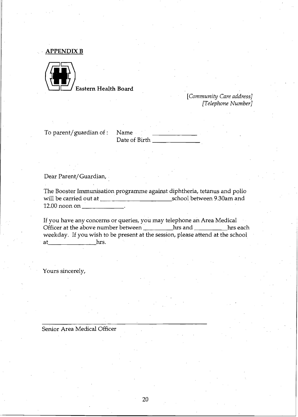**APPENDIXB** 



**[H]** Eastern Health Board

*[Community Care address] [Telephone Number]* 

To parent/guardian of : Name

Date of Birth \_

Dear Parent/ Guardian,

The Booster Immunisation programme against diphtheria, tetanus and polio will be carried out at school between 9.30am and 12.00 noon on \_\_\_\_\_ \_

If you have any concerns or queries, you may telephone an Area Medical Officer at the above number between hrs and health has each hrs each weekday. If you wish to be present at the session, please attend at the school at hrs.

Yours sincerely,

Senior Area Medical Officer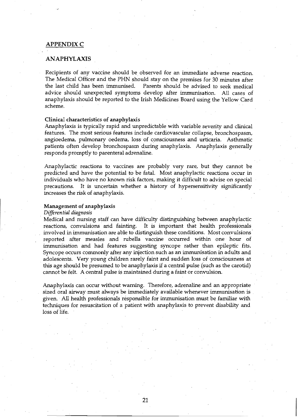# APPENDIXC

## ANAPHYLAXIS

Recipients of any vaccine should be observed for an immediate adverse reaction. The Medical Officer and the PHN should stay on the premises for 30 minutes after the last child has been immunised. Parents should be advised to seek medical advice should unexpected symptoms develop after immunisation. All cases of anaphylaxis should be reported to the Irish Medicines Board using the Yellow Card scheme.

#### Clinical characteristics of anaphylaxis

Anaphylaxis is typically rapid and unpredictable with variable severity and clinical features. The most serious features include cardiovascular collapse, bronchospasm, angioedema, pulmonary oedema, loss· of consciousness and urticaria. Asthmatic patients often develop bronchospasm during anaphylaxis. Anaphylaxis generally responds promptly to parenteral adrenaline.

Anaphylactic reactions to vaccines are probably very rare, but they cannot be predicted and have the potential to be fatal. Most anaphylactic reactions occur in individuals who have no known risk factors, making it difficult to advise on special precautions. It is uncertain whether a history of hypersensitivity significantly increases the risk of anaphylaxis.

# Management of anaphylaxis

### *Differential diagnosis*

Medical and nursing staff can have difficulty distinguishing between anaphylactic reactions, convulsions and fainting. It is important that health professionals It is important that health professionals involved in immunisation are able to distinguish these conditions. Most convulsions . reported after measles and rubella vaccine occurred within one hour of immunisation and had features suggesting syncope rather than epileptic fits. Syncope occurs commonly after any injection such as an immunisation in adults and adolescents. Very young children rarely faint and sudden loss of consciousness at . this age should be presumed to be anaphylaxis if a central pulse (such as the carotid) cannot be felt. A central pulse is maintained during a faint or convulsion.

Anaphylaxis can occur without warning. Therefore, adrenaline and an appropriate sized oral airway must always be immediately available whenever immunisation is given. All health professionals responsible for immunisation must be familiar with teclmiques for resuscitation of a patient with anaphylaxis to prevent disability and loss of life.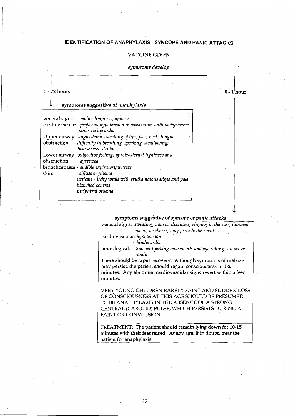# **IDENTIFICATION OF ANAPHYLAXIS, SYNCOPE AND PANIC ATTACKS**

, ,

# VACCINE GIVEN

## *, symptoms develop*

# $\begin{array}{c} \begin{array}{c} \end{array} 0 - 72 \; \text{hours} \end{array}$

 $0-1$  hour

 $\vert$ 

#### symptoms suggestive of *anaphylaxis*

|                              | general signs: pallor, limpness, apnoea                                                    |  |
|------------------------------|--------------------------------------------------------------------------------------------|--|
|                              | cardiovascular: profound hypotension in association with tachycardia;<br>sinus tachycardia |  |
| Upper airway                 | angioedema - swelling of lips, face, neck, tongue                                          |  |
| obstruction:                 | difficulty in breathing, speaking, swallowing;<br>hoarseness, stridor                      |  |
| Lower airway<br>obstruction: | subjective feelings of retrosternal tightness and<br>dyspnoea                              |  |
|                              | bronchospasm - audible expiratory wheeze                                                   |  |
| skin:                        | diffuse erythema                                                                           |  |
|                              | urticari - itchy weals with erythematous edges and pale                                    |  |
|                              | blanched centres                                                                           |  |
|                              | peripheral oedema                                                                          |  |

#### symptoms suggestive of *S1jncope* or *panic attacks*

general signs: *sweating, nausea, dizziness, ringing in the ears, dimmed vision, weakness, may precede the event ..* 

cardiovascular: *hypotension* 

*, bradycardia* 

neurological: *transient jerking movements and eye rolling can occur rarely* 

There should be rapid recovery. Although symptoms of malaise may persist, the patient should regain consciousness in 1-2 minutes. Any abnormal cardiovascular signs revert within a few minutes. '

VERY YOUNG CHILDREN RARELY FAINT AND SUDDEN LOSS OF CONSCIOUSNESS AT THIS AGE SHOULD BE PRESUMED TO BE ANAPHYLAXIS IN THE ABSENCE OF A STRONG CENTRAL (CAROTID) PULSE, WHICH PERSISTS DURING A FAINT OR CONVULSION

TREATMENT: The patient should remain lying down for 10-15 minutes with their feet raised. At any age, if in doubt, treat the patient for anaphylaxis.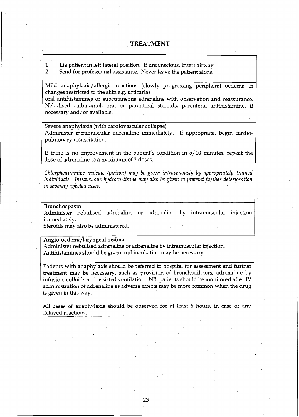# **TREATMENT**

1. Lie patient in left lateral position. If unconscious, insert airway.

2. 'Send for professional assistance. Never leave the patient alone.

Mild anaphylaxis/allergic reactions (slowly progressing peripheral oedema or changes restricted to the skin e.g. urticaria)

oral antihistamines or subcutaneous adrenaline with observation and reassurance. Nebulised salbutamol, oral or parenteral steroids, parenteral antihistamine, if necessary and/or available.

Severe anaphylaxis (with cardiovascular collapse) Administer intramuscular adrenaline immediately. If appropriate, begin cardiopulmonary resuscitation.

If there is no improvement in the patient's condition in *5110* minutes, repeat the dose of adrenaline to a maximum of 3 doses.

*Chlorpheniramine maleate (piriton) may be given intravenously by appropriately trained individuals. Intravenous hydrocortisone may also be given to prevent further deterioration in severely affected cases.* 

Bronchospasm

Administer nebulised adrenaline or adrenaline by intramuscular injection immediately.

Steroids may also be administered.

Angio-oedema/laryngeal oedma

Administer nebulised adrenaline or adrenaline by intramuscular injection. Antihistamines should be given and incubation may be necessary.

Patients with anaphylaxis should be referred to hospital for assessment and further treatment may be necessary, such as provision of bronchodilators, adrenaline by infusion, colloids and assisted ventilation. NB. patients should be monitored after N administration of adrenaline as adverse effects may be more common when the drug is given in this way.

All cases of anaphylaxis should be observed for at least 6 hours, in case of any delayed reactions.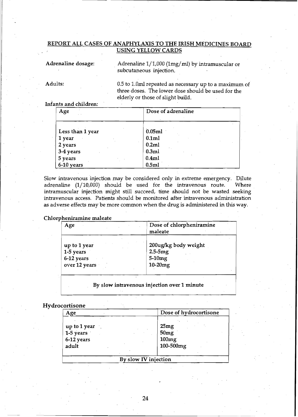# REPORT ALL CASES OF ANAPHYLAXIS TO THE IRISH MEDICINES BOARD USING YELLOW CARDS

Adrenaline dosage:

. Adrenaline 1/1,000 (Img/ml) by intramuscular or subcutaneous injection.

Adults:

0.5 to 1.0ml repeated as necessary up to a maximum of three doses. The lower dose should be used for the elderly or those of slight build.

# Infants and children:

| Age              | Dose of adrenaline |
|------------------|--------------------|
| Less than 1 year | 0.05ml             |
| 1 year           | 0.1ml              |
| 2 years          | 0.2ml              |
| 3-4 years        | 0.3ml              |
| 5 years          | 0.4ml              |
| 6-10 years       | 0.5ml              |

Slow intravenous injection may be considered only in extreme emergency. Dilute adrenaline (1/10,000) should be used for the intravenous route. Where intramuscular injection might still succeed, time should not be wasted seeking intravenous access. Patients should be monitored after intravenous administration as adverse effects may be more common when the drug is administered in this way.

# Chlorpheniramine maleate

| Age           | Dose of chlorpheniramine<br>maleate |
|---------------|-------------------------------------|
| up to 1 year  | 200ug/kg body weight                |
| 1-5 years     | $2.5-5mg$                           |
| 6-12 years    | 5-10mg                              |
| over 12 years | $10-20mg$                           |

### By slow intravenous injection over 1 minute

# Hydrocortisone

| Age                                                     | Dose of hydrocortisone                         |
|---------------------------------------------------------|------------------------------------------------|
| up to 1 year $\sim$<br>1-5 years<br>6-12 years<br>adult | 25mg<br>50 <sub>mg</sub><br>100mg<br>100-500mg |
|                                                         | By slow IV injection                           |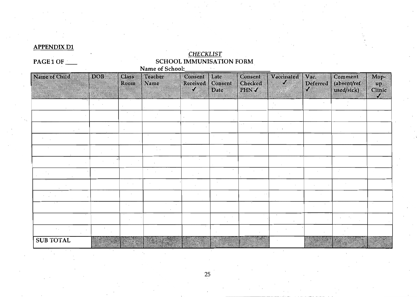# **APPENDIX D1**

# *CHECKLIST*  PAGE 1 OF . SCHOOL IMMUNISATION FORM  $\mathcal{L}_{\text{max}}$  and  $\mathcal{L}_{\text{max}}$

| Name of Child    | <b>DOB</b> | Class<br>Room | Teacher<br>Name | Consent<br>Received<br>Z | Late<br>Consent<br>Date | $\epsilon$ onsent<br>Checked<br><b>BHNY</b> | Vacculated<br>82 | V.C.<br>Deferred | Comment<br>(absent/ref<br>used/sick) | Mop-<br>90<br>Clinic<br>7 |
|------------------|------------|---------------|-----------------|--------------------------|-------------------------|---------------------------------------------|------------------|------------------|--------------------------------------|---------------------------|
|                  |            |               |                 |                          |                         |                                             |                  |                  |                                      |                           |
|                  |            |               |                 |                          |                         |                                             |                  |                  |                                      |                           |
|                  |            |               |                 |                          |                         |                                             |                  |                  |                                      |                           |
|                  |            |               |                 |                          |                         |                                             |                  |                  |                                      |                           |
|                  |            |               |                 |                          |                         |                                             |                  |                  |                                      |                           |
|                  |            |               |                 |                          |                         |                                             |                  |                  |                                      |                           |
|                  |            |               |                 |                          |                         |                                             |                  |                  |                                      |                           |
|                  |            |               |                 |                          |                         |                                             |                  |                  |                                      |                           |
|                  |            |               |                 |                          |                         |                                             |                  |                  |                                      |                           |
|                  |            |               |                 |                          |                         |                                             |                  |                  |                                      |                           |
|                  |            |               |                 |                          |                         |                                             | $\sim$           |                  |                                      |                           |
|                  |            |               |                 |                          |                         |                                             |                  |                  |                                      |                           |
| <b>SUB TOTAL</b> |            |               |                 |                          |                         |                                             |                  |                  |                                      |                           |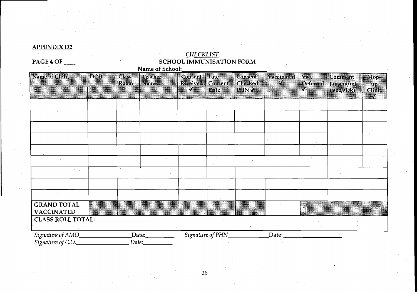# **APPENDIX** D2.

# *CHECKLIST*  PAGE 4 OF **SCHOOL IMMUNISATION FORM**

| <b>INSTITUTION</b>                      | ndi | Class<br>Room | Teacher<br>Name | Consent<br>Received Consent<br>X. | Late<br>Dac          | Consent<br>Checked<br>$m_{\rm I}$ | Vacamated<br>X | V.C<br>Deterred<br>9,8 | Comment<br><i><b><u>absentitet</u></b></i><br>used/siek) | Mor<br>up.<br>Clinic<br>74 |
|-----------------------------------------|-----|---------------|-----------------|-----------------------------------|----------------------|-----------------------------------|----------------|------------------------|----------------------------------------------------------|----------------------------|
|                                         |     |               |                 |                                   |                      |                                   |                |                        |                                                          |                            |
|                                         |     |               |                 |                                   |                      |                                   |                |                        |                                                          |                            |
|                                         |     |               |                 |                                   |                      |                                   |                |                        |                                                          |                            |
|                                         |     |               |                 |                                   |                      |                                   |                |                        |                                                          |                            |
|                                         |     |               |                 |                                   |                      |                                   |                |                        |                                                          |                            |
|                                         |     |               |                 |                                   | $\lambda_{\rm{max}}$ | <b>Contractor</b>                 |                |                        |                                                          |                            |
|                                         |     |               |                 |                                   |                      |                                   |                |                        |                                                          |                            |
|                                         |     |               |                 |                                   |                      |                                   |                |                        |                                                          |                            |
|                                         |     |               |                 |                                   |                      |                                   |                |                        |                                                          |                            |
| <b>GRAND TOTAL</b><br><b>VACCINATED</b> |     |               |                 |                                   |                      |                                   |                |                        |                                                          |                            |
| <b>CLASS ROLL TOTAL:</b>                |     |               |                 |                                   |                      |                                   |                |                        |                                                          |                            |
| Signature of AMO_<br>Signature of C.O.  |     | Date:         | Date:           |                                   | Signature of PHN_    |                                   | Date:          |                        |                                                          |                            |

 $\cdot$  26